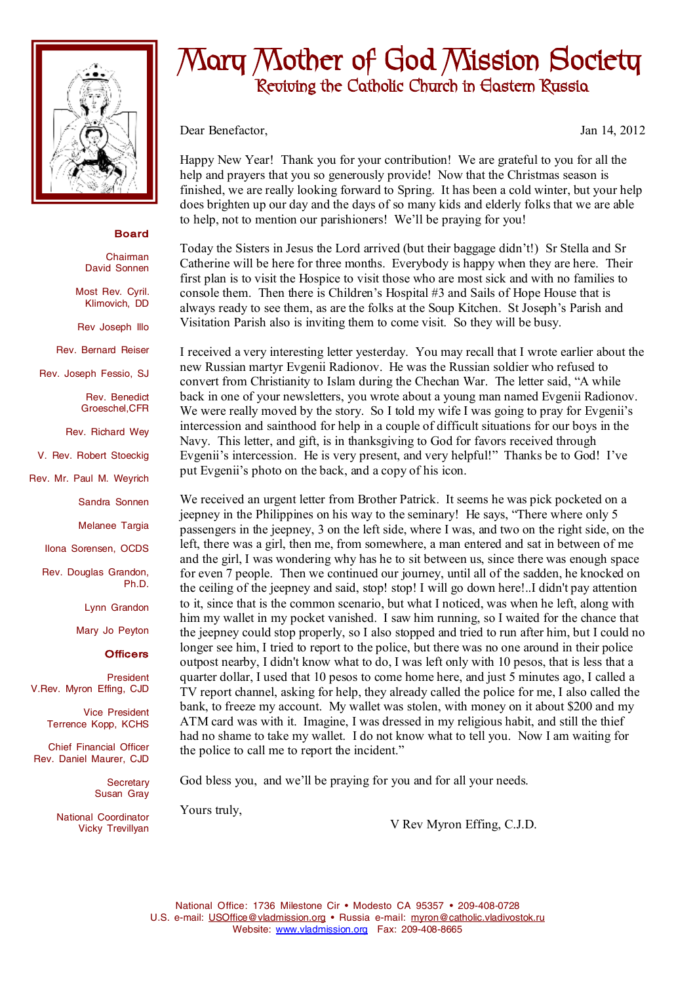

## **Board**

Chairman David Sonnen

Most Rev. Cyril. Klimovich, DD

Rev Joseph Illo

Rev. Bernard Reiser

Rev. Joseph Fessio, SJ

Rev. Benedict Groeschel,CFR

Rev. Richard Wey

V. Rev. Robert Stoeckig

Rev. Mr. Paul M. Weyrich

Sandra Sonnen

Melanee Targia

Ilona Sorensen, OCDS

Rev. Douglas Grandon, Ph.D.

Lynn Grandon

Mary Jo Peyton

## **Officers**

President V.Rev. Myron Effing, CJD

> Vice President Terrence Kopp, KCHS

Chief Financial Officer Rev. Daniel Maurer, CJD

> **Secretary** Susan Gray

National Coordinator Vicky Trevillyan

## **Mary Mother of God Mission Society Reviving the Catholic Church in Eastern Russia**

Dear Benefactor, Jan 14, 2012

Happy New Year! Thank you for your contribution! We are grateful to you for all the help and prayers that you so generously provide! Now that the Christmas season is finished, we are really looking forward to Spring. It has been a cold winter, but your help does brighten up our day and the days of so many kids and elderly folks that we are able to help, not to mention our parishioners! We'll be praying for you!

Today the Sisters in Jesus the Lord arrived (but their baggage didn't!) Sr Stella and Sr Catherine will be here for three months. Everybody is happy when they are here. Their first plan is to visit the Hospice to visit those who are most sick and with no families to console them. Then there is Children's Hospital #3 and Sails of Hope House that is always ready to see them, as are the folks at the Soup Kitchen. St Joseph's Parish and Visitation Parish also is inviting them to come visit. So they will be busy.

I received a very interesting letter yesterday. You may recall that I wrote earlier about the new Russian martyr Evgenii Radionov. He was the Russian soldier who refused to convert from Christianity to Islam during the Chechan War. The letter said, "A while back in one of your newsletters, you wrote about a young man named Evgenii Radionov. We were really moved by the story. So I told my wife I was going to pray for Evgenii's intercession and sainthood for help in a couple of difficult situations for our boys in the Navy. This letter, and gift, is in thanksgiving to God for favors received through Evgenii's intercession. He is very present, and very helpful!" Thanks be to God! I've put Evgenii's photo on the back, and a copy of his icon.

We received an urgent letter from Brother Patrick. It seems he was pick pocketed on a jeepney in the Philippines on his way to the seminary! He says, "There where only 5 passengers in the jeepney, 3 on the left side, where I was, and two on the right side, on the left, there was a girl, then me, from somewhere, a man entered and sat in between of me and the girl, I was wondering why has he to sit between us, since there was enough space for even 7 people. Then we continued our journey, until all of the sadden, he knocked on the ceiling of the jeepney and said, stop! stop! I will go down here!..I didn't pay attention to it, since that is the common scenario, but what I noticed, was when he left, along with him my wallet in my pocket vanished. I saw him running, so I waited for the chance that the jeepney could stop properly, so I also stopped and tried to run after him, but I could no longer see him, I tried to report to the police, but there was no one around in their police outpost nearby, I didn't know what to do, I was left only with 10 pesos, that is less that a quarter dollar, I used that 10 pesos to come home here, and just 5 minutes ago, I called a TV report channel, asking for help, they already called the police for me, I also called the bank, to freeze my account. My wallet was stolen, with money on it about \$200 and my ATM card was with it. Imagine, I was dressed in my religious habit, and still the thief had no shame to take my wallet. I do not know what to tell you. Now I am waiting for the police to call me to report the incident."

God bless you, and we'll be praying for you and for all your needs.

Yours truly,

V Rev Myron Effing, C.J.D.